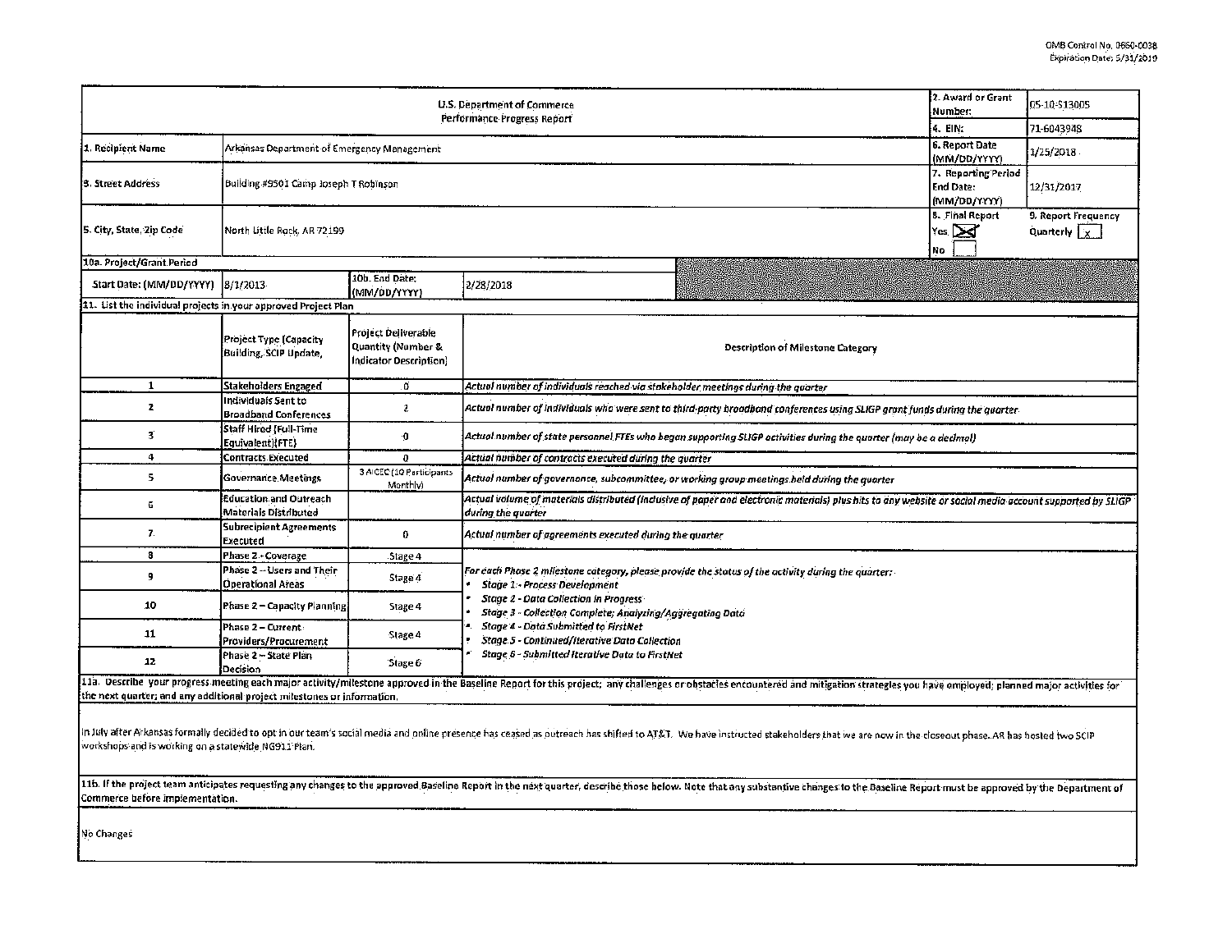| U.S. Department of Commerce<br>Performance Progress Report              |                                                       |                                                                            |                                                                                                                                                                                                                                                                                                                                                                                                                         |  | 05-10-\$13005 |  |  |  |  |
|-------------------------------------------------------------------------|-------------------------------------------------------|----------------------------------------------------------------------------|-------------------------------------------------------------------------------------------------------------------------------------------------------------------------------------------------------------------------------------------------------------------------------------------------------------------------------------------------------------------------------------------------------------------------|--|---------------|--|--|--|--|
|                                                                         | 4. EIN:                                               | 71-6043948                                                                 |                                                                                                                                                                                                                                                                                                                                                                                                                         |  |               |  |  |  |  |
| 1. Recipient Name                                                       | Arkansas Department of Emergency Management           | 6. Report Date<br>(MM/DD/YYYY)                                             | 1/25/2018                                                                                                                                                                                                                                                                                                                                                                                                               |  |               |  |  |  |  |
| 3. Street Address                                                       | Building #9501 Camp Joseph T Robinson                 | 7. Reporting Period<br>End Date:<br>(MM/DD/YYYY)                           | 12/31/2017                                                                                                                                                                                                                                                                                                                                                                                                              |  |               |  |  |  |  |
| 5. City, State, Zip Code                                                | North Little Rock, AR 72199                           | <b>8. Final Report</b><br>$\vert$ Yes, $\sum$<br>No                        | 9. Report Frequency<br>Quarterly <sub>x</sub>                                                                                                                                                                                                                                                                                                                                                                           |  |               |  |  |  |  |
| 10a. Project/Grant Period                                               |                                                       |                                                                            |                                                                                                                                                                                                                                                                                                                                                                                                                         |  |               |  |  |  |  |
| Start Date: (MM/DD/YYYY)                                                | 8/1/2013                                              | 10b. End Date:<br>(MM/DD/YYYY)                                             | 2/28/2018                                                                                                                                                                                                                                                                                                                                                                                                               |  |               |  |  |  |  |
| 11. List the individual projects in your approved Project Plan          |                                                       |                                                                            |                                                                                                                                                                                                                                                                                                                                                                                                                         |  |               |  |  |  |  |
|                                                                         | Project Type (Capacity<br>Building, SCIP Undate,      | <b>Project Deliverable</b><br>Quantity (Number &<br>Indicator Description) | Description of Milestone Category                                                                                                                                                                                                                                                                                                                                                                                       |  |               |  |  |  |  |
| $\mathbf{1}$                                                            | Stakeholders Engaged                                  | Ö.                                                                         | Actual number of individuals reached via stakeholder meetings during the quarter                                                                                                                                                                                                                                                                                                                                        |  |               |  |  |  |  |
| $\mathbf{z}$                                                            | Individuals Sent to<br><b>Broadband Conferences</b>   | 2                                                                          | Actual number of individuals who were sent to third-party broadband conferences using SLIGP grant funds during the quarter-                                                                                                                                                                                                                                                                                             |  |               |  |  |  |  |
| 3                                                                       | <b>Staff Hired {Full-Time</b><br>Equivalent){FTE}     | $\mathbf{0}$                                                               | Actual number of state personnel FTEs who began supporting SLIGP activities during the quarter (may be a decimal)                                                                                                                                                                                                                                                                                                       |  |               |  |  |  |  |
| 4                                                                       | <b>Contracts Executed</b>                             | 0                                                                          | Actual number of contracts executed during the quarter                                                                                                                                                                                                                                                                                                                                                                  |  |               |  |  |  |  |
| 5                                                                       | <b>Governance Meetings</b>                            | 3 AICEC (10 Participants<br>Monthly)                                       | Actual number of governance, subcommittee, or working group meetings held during the quarter                                                                                                                                                                                                                                                                                                                            |  |               |  |  |  |  |
| 6                                                                       | Education and Outreach<br>Materials Distributed       |                                                                            | Actual volume of materials distributed (inclusive of paper and electronic materials) plus hits to any website or social media account supported by SLIGP.<br>during the quarter                                                                                                                                                                                                                                         |  |               |  |  |  |  |
| 7.                                                                      | <b>Subrecipient Agreements</b><br>Executed            | 0                                                                          | Actual number of agreements executed during the quarter                                                                                                                                                                                                                                                                                                                                                                 |  |               |  |  |  |  |
| 8                                                                       | Phase 2 - Coverage                                    | Stage 4                                                                    |                                                                                                                                                                                                                                                                                                                                                                                                                         |  |               |  |  |  |  |
| 9                                                                       | Phase 2 - Users and Their<br><b>Operational Areas</b> | Stage 4                                                                    | For each Phase 2 milestone category, please provide the status of the activity during the quarter:<br><b>Stage 1 - Process Development</b><br><b>Stage 2 - Data Collection in Progress</b><br>Stage 3 - Collection Complete; Analyzing/Aggregating Data<br><b>Stage 4 - Data Submitted to FirstNet</b><br><b>Stage 5 - Continued/Iterative Data Collection</b><br><b>Stage 6 - Submitted Iterative Data to FirstNet</b> |  |               |  |  |  |  |
| 10                                                                      | Phase 2 – Capacity Planningi                          | Stage 4                                                                    |                                                                                                                                                                                                                                                                                                                                                                                                                         |  |               |  |  |  |  |
| 11                                                                      | Phase 2 - Current:<br>Providers/Procurement           | Stage 4                                                                    |                                                                                                                                                                                                                                                                                                                                                                                                                         |  |               |  |  |  |  |
| 12                                                                      | Phase 2 - State Plan<br>Decision                      | Stage 6                                                                    |                                                                                                                                                                                                                                                                                                                                                                                                                         |  |               |  |  |  |  |
| the next quarter; and any additional project milestones or information. |                                                       |                                                                            | 11a. Describe your progress meeting each major activity/milestone approved in the Baseline Report for this project; any challenges or obstacles encountered and mitigation strategles you have employed; planned major activit                                                                                                                                                                                          |  |               |  |  |  |  |
|                                                                         |                                                       |                                                                            |                                                                                                                                                                                                                                                                                                                                                                                                                         |  |               |  |  |  |  |

In July after Arkansas formally decided to opt in our team's social media and online presence has ceased as outreach has shifted to AT&T. We have instructed stakeholders that we are now in the closeout phase. AR has hosted workshops and is working on a statewide NG911 Plan.

116. If the project team anticipates requesting any changes to the approved Baseline Report in the next quarter, describe those below. Note that any substantive changes to the Baseline Report must be approved by the Depart Commerce before lmpfementatlon.

No Changes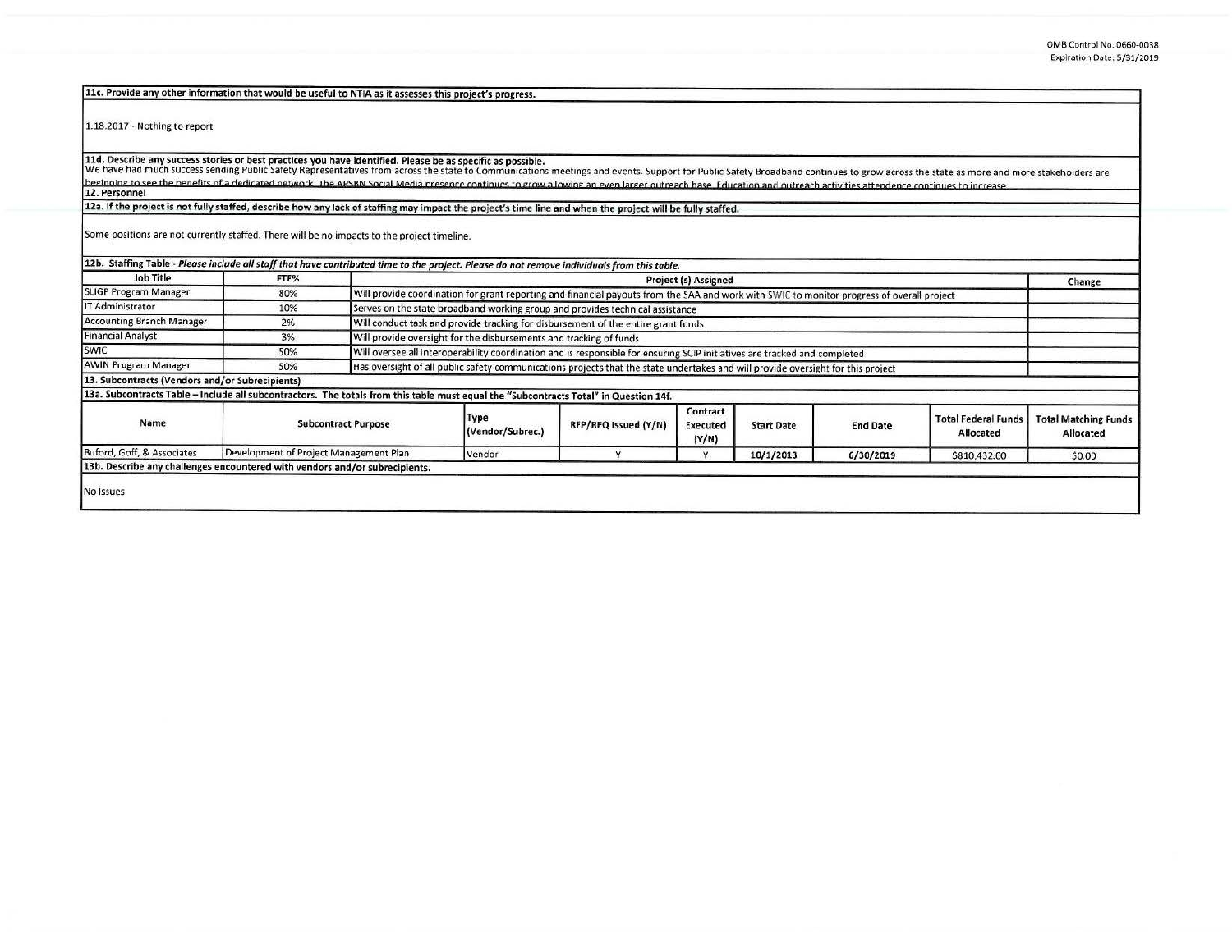11c. Provide any other information that would be useful to NTIA as it assesses this project's progress.

1.18.2017 - Nothing to report

11d. Describe any success stories or best practices you have identified. Please be as specific as possible.<br>We have had much success sending Public Safety Representatives from across the state to Communications meetings an beginning to see the henefits of a dedicated network. The APSRN Social Media presence continues to grow allowing an even larger outreach hase. Education and outreach activities attendence continues to increase 12. Personnel

12a. If the project is not fully staffed, describe how any lack of staffing may impact the project's time line and when the project will be fully staffed.

Some positions are not currently staffed. There will be no impacts to the project timeline.

| 12b. Staffing Table - Please include all staff that have contributed time to the project. Please do not remove individuals from this table. |                                        |                                                                                                                                            |                          |                      |                                      |                   |                 |                                         |                                          |
|---------------------------------------------------------------------------------------------------------------------------------------------|----------------------------------------|--------------------------------------------------------------------------------------------------------------------------------------------|--------------------------|----------------------|--------------------------------------|-------------------|-----------------|-----------------------------------------|------------------------------------------|
| <b>Job Title</b>                                                                                                                            | FTE%                                   | Project (s) Assigned                                                                                                                       |                          |                      |                                      |                   |                 |                                         | Change                                   |
| SLIGP Program Manager                                                                                                                       | 80%                                    | Will provide coordination for grant reporting and financial payouts from the SAA and work with SWIC to monitor progress of overall project |                          |                      |                                      |                   |                 |                                         |                                          |
| IT Administrator                                                                                                                            | 10%                                    | Serves on the state broadband working group and provides technical assistance                                                              |                          |                      |                                      |                   |                 |                                         |                                          |
| <b>Accounting Branch Manager</b>                                                                                                            | 2%                                     | Will conduct task and provide tracking for disbursement of the entire grant funds                                                          |                          |                      |                                      |                   |                 |                                         |                                          |
| <b>Financial Analyst</b>                                                                                                                    | 3%                                     | Will provide oversight for the disbursements and tracking of funds                                                                         |                          |                      |                                      |                   |                 |                                         |                                          |
| SWIC                                                                                                                                        | 50%                                    | Will oversee all interoperability coordination and is responsible for ensuring SCIP initiatives are tracked and completed                  |                          |                      |                                      |                   |                 |                                         |                                          |
| <b>AWIN Program Manager</b>                                                                                                                 | 50%                                    | Has oversight of all public safety communications projects that the state undertakes and will provide oversight for this project           |                          |                      |                                      |                   |                 |                                         |                                          |
| 13. Subcontracts (Vendors and/or Subrecipients)                                                                                             |                                        |                                                                                                                                            |                          |                      |                                      |                   |                 |                                         |                                          |
| 13a. Subcontracts Table - Include all subcontractors. The totals from this table must equal the "Subcontracts Total" in Question 14f.       |                                        |                                                                                                                                            |                          |                      |                                      |                   |                 |                                         |                                          |
| Name                                                                                                                                        | <b>Subcontract Purpose</b>             |                                                                                                                                            | Type<br>(Vendor/Subrec.) | RFP/RFQ Issued (Y/N) | Contract<br><b>Executed</b><br>(Y/N) | <b>Start Date</b> | <b>End Date</b> | <b>Total Federal Funds</b><br>Allocated | <b>Total Matching Funds</b><br>Allocated |
| Buford, Goff, & Associates                                                                                                                  | Development of Project Management Plan |                                                                                                                                            | Vendor                   |                      |                                      | 10/1/2013         | 6/30/2019       | \$810,432.00                            | \$0.00                                   |
| 13b. Describe any challenges encountered with vendors and/or subrecipients.                                                                 |                                        |                                                                                                                                            |                          |                      |                                      |                   |                 |                                         |                                          |
| No Issues                                                                                                                                   |                                        |                                                                                                                                            |                          |                      |                                      |                   |                 |                                         |                                          |